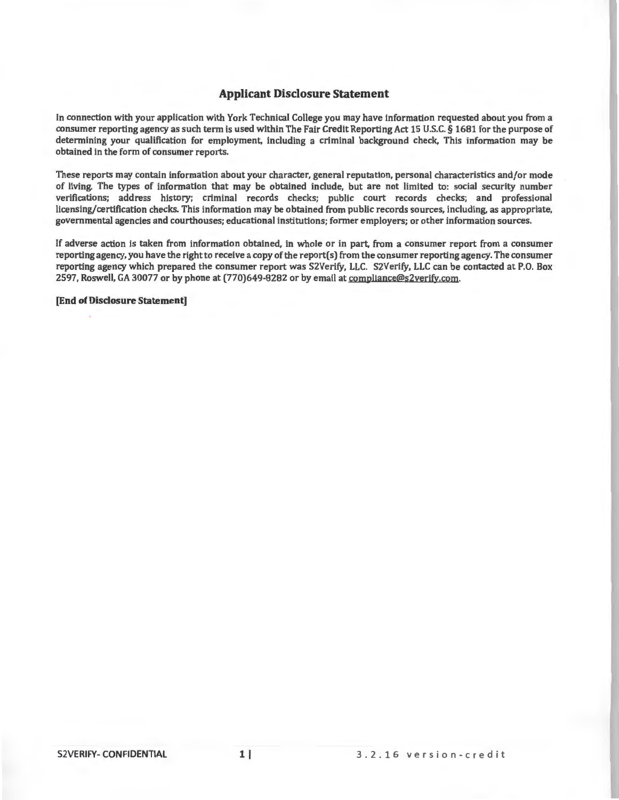# **Applicant Disclosure Statement**

In connection with your application with York Technical College you may have information requested about you from a consumer reporting agency as such term is used within The Fair Credit Reporting Act 15 U.S.C. § 1681 for the purpose of determining your qualification for employment, including a criminal background check, This information may be obtained in the form of consumer reports.

These reports may contain information about your character, general reputation, personal characteristics and/or mode of living. The types of information that may be obtained include, but are not limited to: social security number verifications; address history; criminal records checks; public court records checks; and professional licensing/certification checks. This information may be obtained from public records sources, including, as appropriate, governmental agencies and courthouses; educational institutions; former employers; or other information sources.

If adverse action is taken from information obtained, in whole or in part, from a consumer report from a consumer reporting agency, you have the right to receive a copy of the report( s) from the consumer reporting agency. The consumer reporting agency which prepared the consumer report was S2Verify, LLC. S2Verify, LLC can be contacted at P.O. Box 2597, Roswell, GA 30077 or by phone at (770)649-8282 or by email at compliance@s2verjfy.com.

**[End of Disclosure Statement]**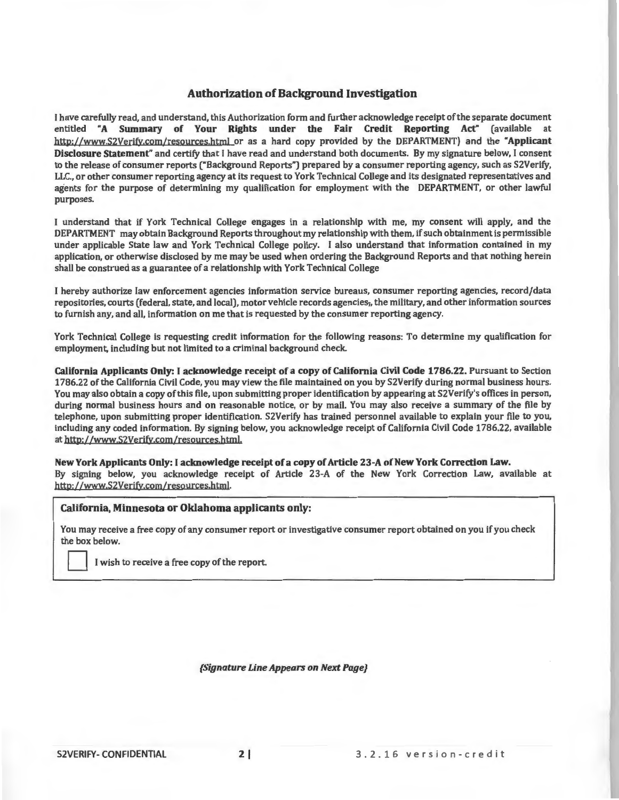# **Authorization of Background Investigation**

1 have carefully read, and understand, this Authorization form and further acknowledge receipt of the separate document entitled **"A Summary of Your Rights under the Fair Credit Reporting Act"** (available at http://www.S2Verify.com/resources.html or as a hard copy provided by the DEPARTMENT) and the "Applicant **Disclosure Statement"** and certify that I have read and understand both documents. By my signature below, I consent to the release of consumer reports ("Background Reports") prepared by a consumer reporting agency, such as S2Verify, LLC., or other consumer reporting agency at its request to York Technical College and its designated representatives and agents for the purpose of determining my qualification for employment with the DEPARTMENT, or other lawful purposes.

l understand that if York Technical College engages in a relationship with me, my consent will apply, and the DEPARTMENT may obtain Background Reports throughout my relationship with them, if such obtainment is permissible under applicable State law and York Technical College policy. I also understand that information contained in my application, or otherwise disclosed by me may be used when ordering the Background Reports and that nothing herein shall be construed as a guarantee of a relationship with York Technical College

I hereby authorize law enforcement agencies information service bureaus, consumer reporting agencies, record/data repositories, courts (federal, state, and local), motor vehicle records agencies,, the military, and other information sources to furnish any, and all, information on me that is requested by the consumer reporting agency.

York Technical College is requesting credit information for the following reasons: To determine my qualification for employment, including but not limited to a criminal background check

**California Applicants Only:** I **acknowledge receipt of a copy of California Civil Code 1786.22.** Pursuant to Section 1786.22 of the California Civil Code, you may view the file maintained on you by S2Verify during normal business hours. You may also obtain a copy of this file, upon submitting proper identification by appearing at S2Verify's offices in person, during normal business hours and on reasonable notice, or by mail. You may also receive a summary of the file by telephone, upon submitting proper identification. S2Verify has trained personnel available to explain your file to you, including any coded information. By signing below, you acknowledge receipt of California Civil Code 1786.22, available at http://www.S2Verify.com/resources.html.

**New York Applicants Only:** I **acknowledge receipt of a copy of Article 23-A of New York Correction Law.**  By signing below, you acknowledge receipt of Article 23-A of the New York Correction Law, available at http: //www.S2Verify.com/resources.htmI.

## **California, Minnesota or Oklahoma applicants only:**

You may receive a free copy of any consumer report or investigative consumer report obtained on you if you check the box below.

I wish to receive a free copy of the report.

**{Signature Line Appears on Next Page}**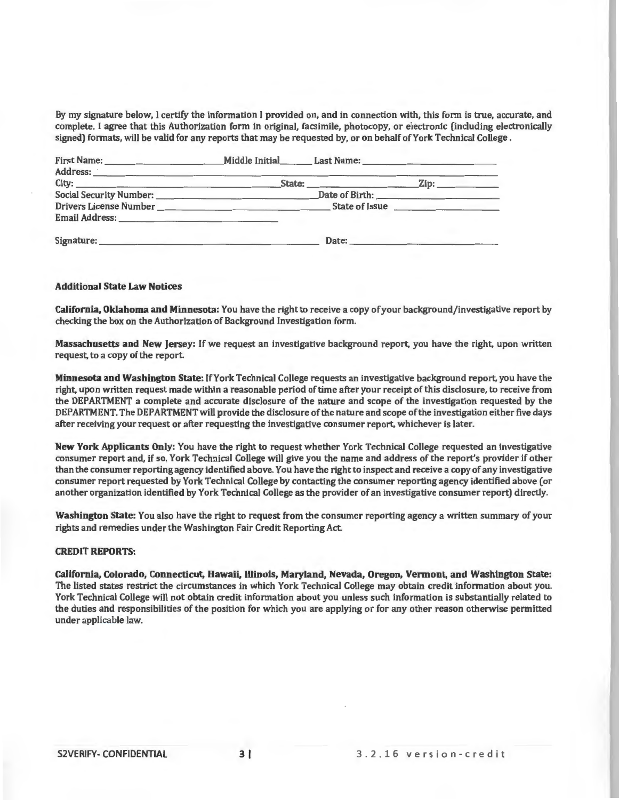By my signature below, I certify the information I provided on, and in connection with, this form is true, accurate, and complete. I agree that this Authorization form in original, facsimile, photocopy, or electronic (including electronically signed) formats, will be valid for any reports that may be requested by, or on behalf of York Technical College.

| Address: <u>Communications of the communications</u> and contract the contract of the contract of the contract of the contract of the contract of the contract of the contract of the contract of the contract of the contract of t |  |
|-------------------------------------------------------------------------------------------------------------------------------------------------------------------------------------------------------------------------------------|--|
|                                                                                                                                                                                                                                     |  |
|                                                                                                                                                                                                                                     |  |
|                                                                                                                                                                                                                                     |  |
|                                                                                                                                                                                                                                     |  |
| Date:                                                                                                                                                                                                                               |  |

#### **Additional State Law Notices**

**California, Oklahoma and Minnesota:** You have the right to receive a copy of your background/investigative report by checking the box on the Authorization of Background Investigation form.

**Massachusetts and New Jersey:** If we request an investigative background report, you have the right, upon written request, to a copy of the report.

**Minnesota and Washington State:** If York Technical College requests an investigative background report, you have the right, upon written request made within a reasonable period of time after your receipt of this disclosure, to receive from the DEPARTMENT a complete and accurate disclosure of the nature and scope of the investigation requested by the DEPARTMENT. The DEPARTMENT will provide the disclosure of the nature and scope of the investigation either five days after receiving your request or after requesting the investigative consumer report, whichever is later.

**New York Applicants Only:** You have the right to request whether York Technical College requested an investigative consumer report and, if so, York Technical College will give you the name and address of the report's provider if other than the consumer reporting agency identified above. You have the right to inspect and receive a copy of any investigative consumer report requested by York Technical College by contacting the consumer reporting agency identified above (or another organization identified by York Technical College as the provider of an investigative consumer report) directly.

**Washington State:** You also have the right to request from the consumer reporting agency a written summary of your rights and remedies under the Washington Fair Credit Reporting Act

### **CREDIT REPORTS:**

**California, Colorado, Connecticut, Hawaii, Illinois, Maryland, Nevada, Oregon, Vermont, and Washington State:**  The listed states restrict the circumstances in which York Technical College may obtain credit information about you. York Technical College will not obtain credit information about you unless such information is substantially related to the duties and responsibilities of the position for which you are applying or for any other reason otherwise permitted under applicable law.